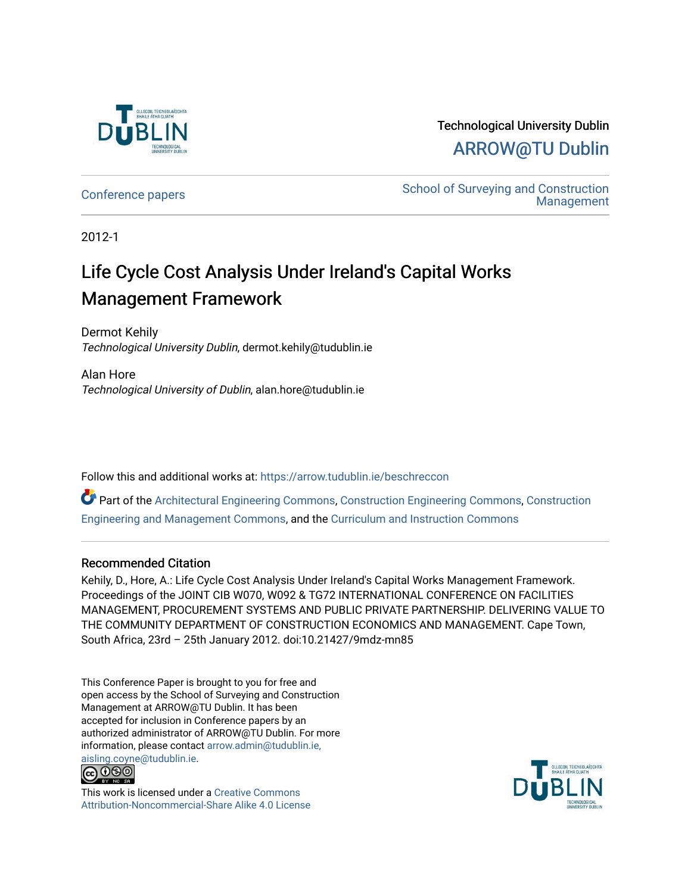

## Technological University Dublin [ARROW@TU Dublin](https://arrow.tudublin.ie/)

[Conference papers](https://arrow.tudublin.ie/beschreccon) School of Surveying and Construction [Management](https://arrow.tudublin.ie/beschrec) 

2012-1

## Life Cycle Cost Analysis Under Ireland's Capital Works Management Framework

Dermot Kehily Technological University Dublin, dermot.kehily@tudublin.ie

Alan Hore Technological University of Dublin, alan.hore@tudublin.ie

Follow this and additional works at: [https://arrow.tudublin.ie/beschreccon](https://arrow.tudublin.ie/beschreccon?utm_source=arrow.tudublin.ie%2Fbeschreccon%2F3&utm_medium=PDF&utm_campaign=PDFCoverPages)

Part of the [Architectural Engineering Commons](http://network.bepress.com/hgg/discipline/774?utm_source=arrow.tudublin.ie%2Fbeschreccon%2F3&utm_medium=PDF&utm_campaign=PDFCoverPages), [Construction Engineering Commons](http://network.bepress.com/hgg/discipline/775?utm_source=arrow.tudublin.ie%2Fbeschreccon%2F3&utm_medium=PDF&utm_campaign=PDFCoverPages), [Construction](http://network.bepress.com/hgg/discipline/253?utm_source=arrow.tudublin.ie%2Fbeschreccon%2F3&utm_medium=PDF&utm_campaign=PDFCoverPages)  [Engineering and Management Commons](http://network.bepress.com/hgg/discipline/253?utm_source=arrow.tudublin.ie%2Fbeschreccon%2F3&utm_medium=PDF&utm_campaign=PDFCoverPages), and the [Curriculum and Instruction Commons](http://network.bepress.com/hgg/discipline/786?utm_source=arrow.tudublin.ie%2Fbeschreccon%2F3&utm_medium=PDF&utm_campaign=PDFCoverPages) 

#### Recommended Citation

Kehily, D., Hore, A.: Life Cycle Cost Analysis Under Ireland's Capital Works Management Framework. Proceedings of the JOINT CIB W070, W092 & TG72 INTERNATIONAL CONFERENCE ON FACILITIES MANAGEMENT, PROCUREMENT SYSTEMS AND PUBLIC PRIVATE PARTNERSHIP. DELIVERING VALUE TO THE COMMUNITY DEPARTMENT OF CONSTRUCTION ECONOMICS AND MANAGEMENT. Cape Town, South Africa, 23rd – 25th January 2012. doi:10.21427/9mdz-mn85

This Conference Paper is brought to you for free and open access by the School of Surveying and Construction Management at ARROW@TU Dublin. It has been accepted for inclusion in Conference papers by an authorized administrator of ARROW@TU Dublin. For more information, please contact [arrow.admin@tudublin.ie,](mailto:arrow.admin@tudublin.ie,%20aisling.coyne@tudublin.ie)  [aisling.coyne@tudublin.ie.](mailto:arrow.admin@tudublin.ie,%20aisling.coyne@tudublin.ie)<br>@009



This work is licensed under a [Creative Commons](http://creativecommons.org/licenses/by-nc-sa/4.0/) [Attribution-Noncommercial-Share Alike 4.0 License](http://creativecommons.org/licenses/by-nc-sa/4.0/)

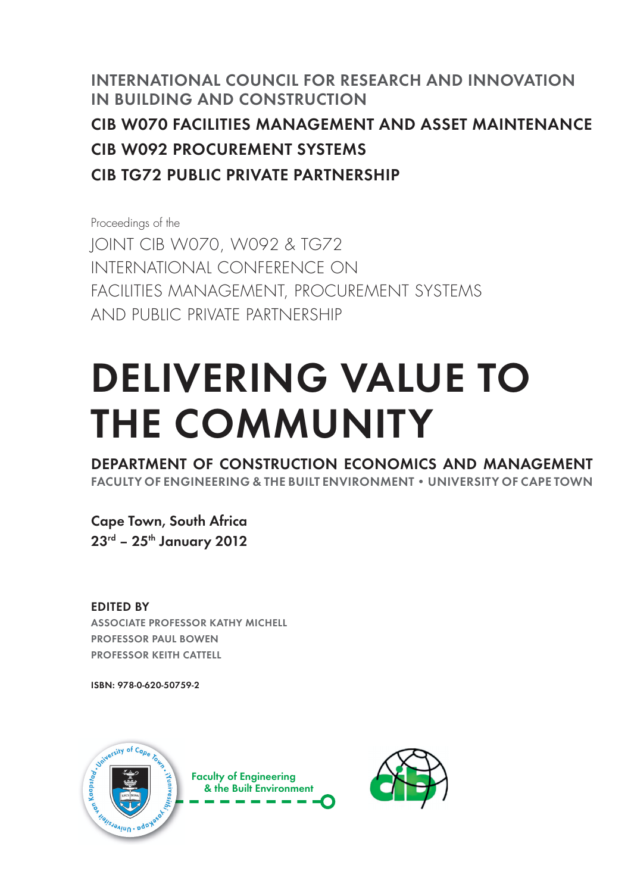## INTERNATIONAL COUNCIL FOR RESEARCH AND INNOVATION IN BUILDING AND CONSTRUCTION CIB W070 FACILITIES MANAGEMENT AND ASSET MAINTENANCE CIB W092 PROCUREMENT SYSTEMS CIB TG72 PUBLIC PRIVATE PARTNERSHIP

Proceedings of the JOINT CIB W070, W092 & TG72 INTERNATIONAL CONFERENCE ON FACILITIES MANAGEMENT, PROCUREMENT SYSTEMS AND PUBLIC PRIVATE PARTNERSHIP

# DELIVERING VALUE TO THE COMMUNITY

DEPARTMENT OF CONSTRUCTION ECONOMICS AND MANAGEMENT FACULTY OF ENGINEERING & THE BUILT ENVIRONMENT . UNIVERSITY OF CAPE TOWN

Cape Town, South Africa 23<sup>rd</sup> - 25<sup>th</sup> January 2012

EDITED BY ASSOCIATE PROFESSOR KATHY MICHELL PROFESSOR PAUL BOWEN PROFESSOR KEITH CATTELL

ISBN: 978-0-620-50759-2



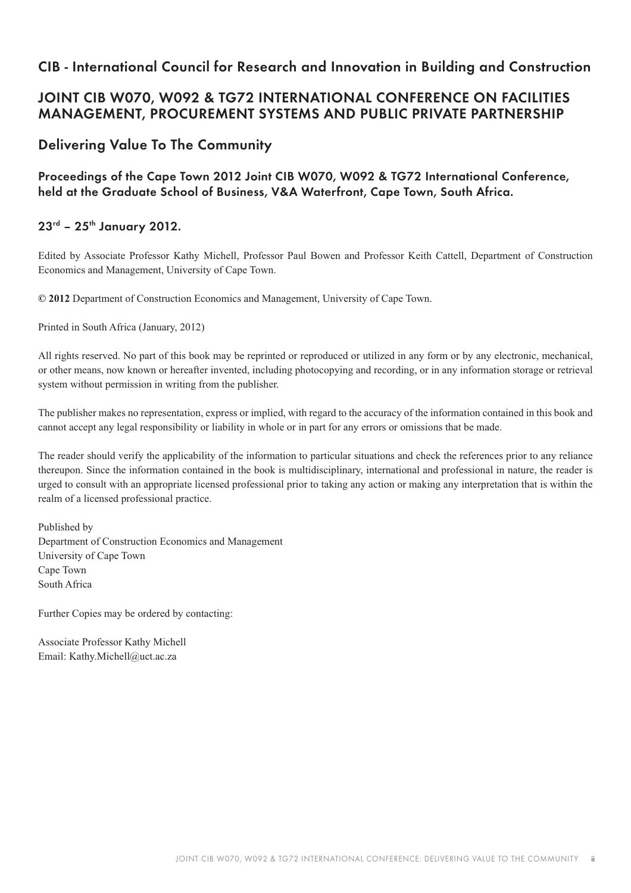#### CIB - International Council for Research and Innovation in Building and Construction

#### JOINT CIB W070, W092 & TG72 INTERNATIONAL CONFERENCE ON FACILITIES MANAGEMENT, PROCUREMENT SYSTEMS AND PUBLIC PRIVATE PARTNERSHIP

#### Delivering Value To The Community

Proceedings of the Cape Town 2012 Joint CIB W070, W092 & TG72 International Conference, held at the Graduate School of Business, V&A Waterfront, Cape Town, South Africa.

#### $23^{rd}$  –  $25^{th}$  January 2012.

Edited by Associate Professor Kathy Michell, Professor Paul Bowen and Professor Keith Cattell, Department of Construction Economics and Management, University of Cape Town.

**© 2012** Department of Construction Economics and Management, University of Cape Town.

Printed in South Africa (January, 2012)

All rights reserved. No part of this book may be reprinted or reproduced or utilized in any form or by any electronic, mechanical, or other means, now known or hereafter invented, including photocopying and recording, or in any information storage or retrieval system without permission in writing from the publisher.

The publisher makes no representation, express or implied, with regard to the accuracy of the information contained in this book and cannot accept any legal responsibility or liability in whole or in part for any errors or omissions that be made.

The reader should verify the applicability of the information to particular situations and check the references prior to any reliance thereupon. Since the information contained in the book is multidisciplinary, international and professional in nature, the reader is urged to consult with an appropriate licensed professional prior to taking any action or making any interpretation that is within the realm of a licensed professional practice.

Published by Department of Construction Economics and Management University of Cape Town Cape Town South Africa

Further Copies may be ordered by contacting:

Associate Professor Kathy Michell Email: Kathy.Michell@uct.ac.za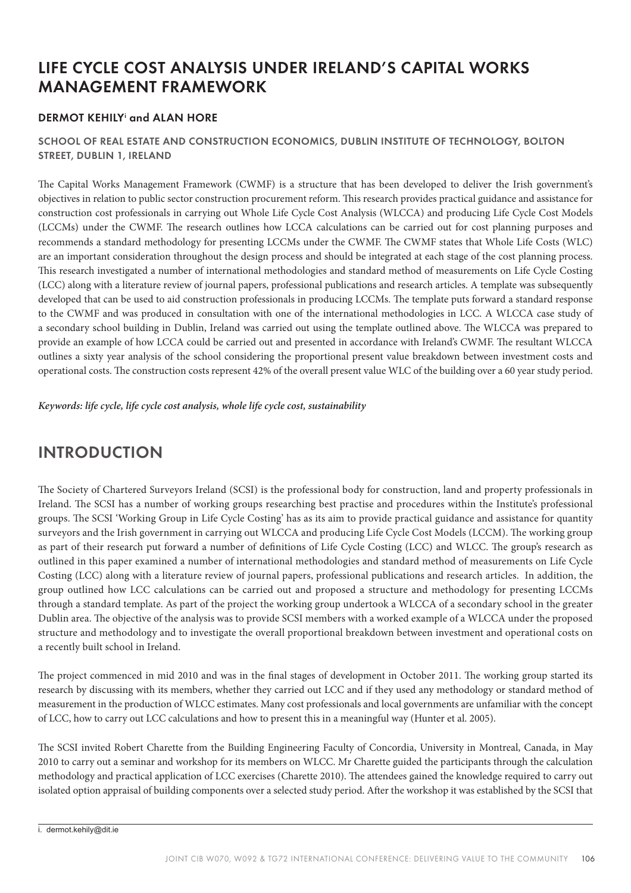## LIFE CYCLE COST ANALYSIS UNDER IRELAND'S CAPITAL WORKS MANAGEMENT FRAMEWORK

#### DERMOT KEHILY<sup>i</sup> and ALAN HORE

#### SCHOOL OF REAL ESTATE AND CONSTRUCTION ECONOMICS, DUBLIN INSTITUTE OF TECHNOLOGY, BOLTON STREET, DUBLIN 1, IRELAND

e Capital Works Management Framework (CWMF) is a structure that has been developed to deliver the Irish government's objectives in relation to public sector construction procurement reform. is research provides practical guidance and assistance for construction cost professionals in carrying out Whole Life Cycle Cost Analysis (WLCCA) and producing Life Cycle Cost Models (LCCMs) under the CWMF. The research outlines how LCCA calculations can be carried out for cost planning purposes and recommends a standard methodology for presenting LCCMs under the CWMF. The CWMF states that Whole Life Costs (WLC) are an important consideration throughout the design process and should be integrated at each stage of the cost planning process. This research investigated a number of international methodologies and standard method of measurements on Life Cycle Costing (LCC) along with a literature review of journal papers, professional publications and research articles. A template was subsequently developed that can be used to aid construction professionals in producing LCCMs. The template puts forward a standard response to the CWMF and was produced in consultation with one of the international methodologies in LCC. A WLCCA case study of a secondary school building in Dublin, Ireland was carried out using the template outlined above. The WLCCA was prepared to provide an example of how LCCA could be carried out and presented in accordance with Ireland's CWMF. The resultant WLCCA outlines a sixty year analysis of the school considering the proportional present value breakdown between investment costs and operational costs. The construction costs represent 42% of the overall present value WLC of the building over a 60 year study period.

**Keywords: life cycle, life cycle cost analysis, whole life cycle cost, sustainability**

## INTRODUCTION

The Society of Chartered Surveyors Ireland (SCSI) is the professional body for construction, land and property professionals in Ireland. The SCSI has a number of working groups researching best practise and procedures within the Institute's professional groups. The SCSI 'Working Group in Life Cycle Costing' has as its aim to provide practical guidance and assistance for quantity surveyors and the Irish government in carrying out WLCCA and producing Life Cycle Cost Models (LCCM). The working group as part of their research put forward a number of definitions of Life Cycle Costing (LCC) and WLCC. The group's research as outlined in this paper examined a number of international methodologies and standard method of measurements on Life Cycle Costing (LCC) along with a literature review of journal papers, professional publications and research articles. In addition, the group outlined how LCC calculations can be carried out and proposed a structure and methodology for presenting LCCMs through a standard template. As part of the project the working group undertook a WLCCA of a secondary school in the greater Dublin area. The objective of the analysis was to provide SCSI members with a worked example of a WLCCA under the proposed structure and methodology and to investigate the overall proportional breakdown between investment and operational costs on a recently built school in Ireland.

The project commenced in mid 2010 and was in the final stages of development in October 2011. The working group started its research by discussing with its members, whether they carried out LCC and if they used any methodology or standard method of measurement in the production of WLCC estimates. Many cost professionals and local governments are unfamiliar with the concept of LCC, how to carry out LCC calculations and how to present this in a meaningful way (Hunter et al. 2005).

e SCSI invited Robert Charette from the Building Engineering Faculty of Concordia, University in Montreal, Canada, in May 2010 to carry out a seminar and workshop for its members on WLCC. Mr Charette guided the participants through the calculation methodology and practical application of LCC exercises (Charette 2010). The attendees gained the knowledge required to carry out isolated option appraisal of building components over a selected study period. After the workshop it was established by the SCSI that

i. dermot.kehily@dit.ie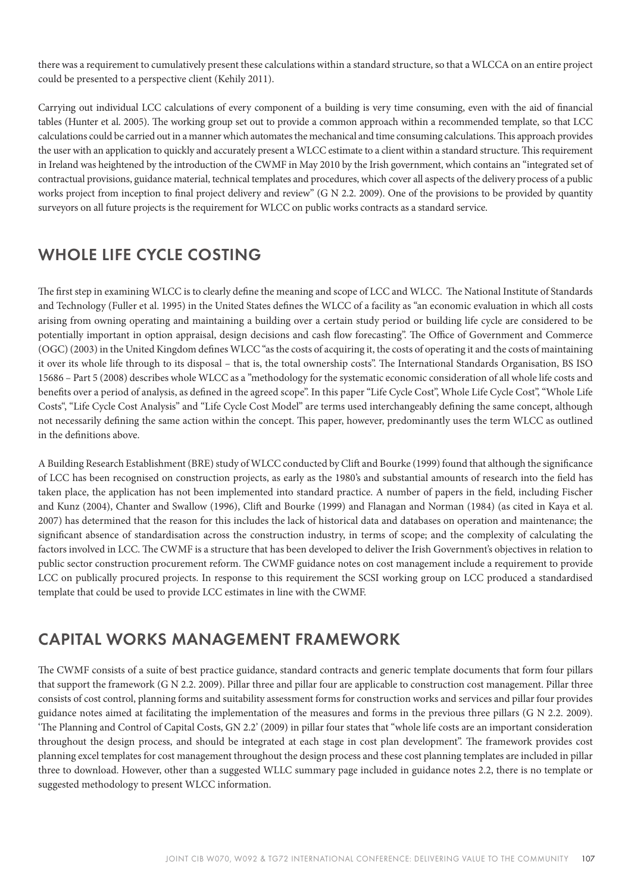there was a requirement to cumulatively present these calculations within a standard structure, so that a WLCCA on an entire project could be presented to a perspective client (Kehily 2011).

Carrying out individual LCC calculations of every component of a building is very time consuming, even with the aid of financial tables (Hunter et al. 2005). The working group set out to provide a common approach within a recommended template, so that LCC calculations could be carried out in a manner which automates the mechanical and time consuming calculations. This approach provides the user with an application to quickly and accurately present a WLCC estimate to a client within a standard structure. This requirement in Ireland was heightened by the introduction of the CWMF in May 2010 by the Irish government, which contains an "integrated set of contractual provisions, guidance material, technical templates and procedures, which cover all aspects of the delivery process of a public works project from inception to final project delivery and review" (G N 2.2. 2009). One of the provisions to be provided by quantity surveyors on all future projects is the requirement for WLCC on public works contracts as a standard service.

## WHOLE LIFE CYCLE COSTING

The first step in examining WLCC is to clearly define the meaning and scope of LCC and WLCC. The National Institute of Standards and Technology (Fuller et al. 1995) in the United States defines the WLCC of a facility as "an economic evaluation in which all costs arising from owning operating and maintaining a building over a certain study period or building life cycle are considered to be potentially important in option appraisal, design decisions and cash flow forecasting". The Office of Government and Commerce (OGC) (2003) in the United Kingdom defines WLCC "as the costs of acquiring it, the costs of operating it and the costs of maintaining it over its whole life through to its disposal – that is, the total ownership costs". The International Standards Organisation, BS ISO 15686 – Part 5 (2008) describes whole WLCC as a "methodology for the systematic economic consideration of all whole life costs and benefits over a period of analysis, as defined in the agreed scope". In this paper "Life Cycle Cost", Whole Life Cycle Cost", "Whole Life Costs", "Life Cycle Cost Analysis" and "Life Cycle Cost Model" are terms used interchangeably defining the same concept, although not necessarily defining the same action within the concept. This paper, however, predominantly uses the term WLCC as outlined in the definitions above.

A Building Research Establishment (BRE) study of WLCC conducted by Clift and Bourke (1999) found that although the significance of LCC has been recognised on construction projects, as early as the 1980's and substantial amounts of research into the field has taken place, the application has not been implemented into standard practice. A number of papers in the field, including Fischer and Kunz (2004), Chanter and Swallow (1996), Clift and Bourke (1999) and Flanagan and Norman (1984) (as cited in Kaya et al. 2007) has determined that the reason for this includes the lack of historical data and databases on operation and maintenance; the significant absence of standardisation across the construction industry, in terms of scope; and the complexity of calculating the factors involved in LCC. The CWMF is a structure that has been developed to deliver the Irish Government's objectives in relation to public sector construction procurement reform. The CWMF guidance notes on cost management include a requirement to provide LCC on publically procured projects. In response to this requirement the SCSI working group on LCC produced a standardised template that could be used to provide LCC estimates in line with the CWMF.

#### CAPITAL WORKS MANAGEMENT FRAMEWORK

The CWMF consists of a suite of best practice guidance, standard contracts and generic template documents that form four pillars that support the framework (G N 2.2. 2009). Pillar three and pillar four are applicable to construction cost management. Pillar three consists of cost control, planning forms and suitability assessment forms for construction works and services and pillar four provides guidance notes aimed at facilitating the implementation of the measures and forms in the previous three pillars (G N 2.2. 2009). 'The Planning and Control of Capital Costs, GN 2.2' (2009) in pillar four states that "whole life costs are an important consideration throughout the design process, and should be integrated at each stage in cost plan development". The framework provides cost planning excel templates for cost management throughout the design process and these cost planning templates are included in pillar three to download. However, other than a suggested WLLC summary page included in guidance notes 2.2, there is no template or suggested methodology to present WLCC information.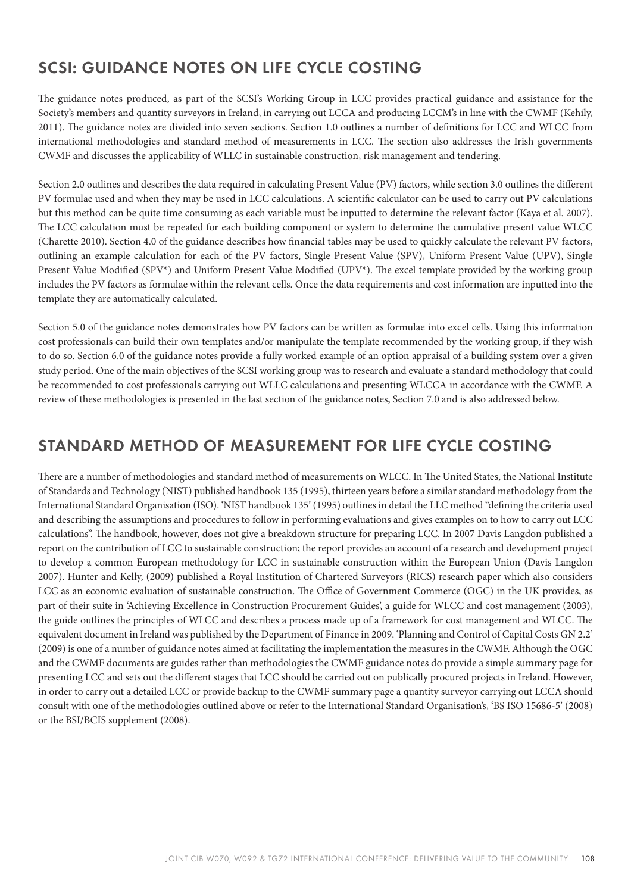## SCSI: GUIDANCE NOTES ON LIFE CYCLE COSTING

The guidance notes produced, as part of the SCSI's Working Group in LCC provides practical guidance and assistance for the Society's members and quantity surveyors in Ireland, in carrying out LCCA and producing LCCM's in line with the CWMF (Kehily, 2011). The guidance notes are divided into seven sections. Section 1.0 outlines a number of definitions for LCC and WLCC from international methodologies and standard method of measurements in LCC. The section also addresses the Irish governments CWMF and discusses the applicability of WLLC in sustainable construction, risk management and tendering.

Section 2.0 outlines and describes the data required in calculating Present Value (PV) factors, while section 3.0 outlines the different PV formulae used and when they may be used in LCC calculations. A scientific calculator can be used to carry out PV calculations but this method can be quite time consuming as each variable must be inputted to determine the relevant factor (Kaya et al. 2007). The LCC calculation must be repeated for each building component or system to determine the cumulative present value WLCC (Charette 2010). Section 4.0 of the guidance describes how financial tables may be used to quickly calculate the relevant PV factors, outlining an example calculation for each of the PV factors, Single Present Value (SPV), Uniform Present Value (UPV), Single Present Value Modified (SPV\*) and Uniform Present Value Modified (UPV\*). The excel template provided by the working group includes the PV factors as formulae within the relevant cells. Once the data requirements and cost information are inputted into the template they are automatically calculated.

Section 5.0 of the guidance notes demonstrates how PV factors can be written as formulae into excel cells. Using this information cost professionals can build their own templates and/or manipulate the template recommended by the working group, if they wish to do so. Section 6.0 of the guidance notes provide a fully worked example of an option appraisal of a building system over a given study period. One of the main objectives of the SCSI working group was to research and evaluate a standard methodology that could be recommended to cost professionals carrying out WLLC calculations and presenting WLCCA in accordance with the CWMF. A review of these methodologies is presented in the last section of the guidance notes, Section 7.0 and is also addressed below.

#### STANDARD METHOD OF MEASUREMENT FOR LIFE CYCLE COSTING

There are a number of methodologies and standard method of measurements on WLCC. In The United States, the National Institute of Standards and Technology (NIST) published handbook 135 (1995), thirteen years before a similar standard methodology from the International Standard Organisation (ISO). 'NIST handbook 135' (1995) outlines in detail the LLC method "defining the criteria used and describing the assumptions and procedures to follow in performing evaluations and gives examples on to how to carry out LCC calculations". The handbook, however, does not give a breakdown structure for preparing LCC. In 2007 Davis Langdon published a report on the contribution of LCC to sustainable construction; the report provides an account of a research and development project to develop a common European methodology for LCC in sustainable construction within the European Union (Davis Langdon 2007). Hunter and Kelly, (2009) published a Royal Institution of Chartered Surveyors (RICS) research paper which also considers LCC as an economic evaluation of sustainable construction. The Office of Government Commerce (OGC) in the UK provides, as part of their suite in 'Achieving Excellence in Construction Procurement Guides', a guide for WLCC and cost management (2003), the guide outlines the principles of WLCC and describes a process made up of a framework for cost management and WLCC. The equivalent document in Ireland was published by the Department of Finance in 2009. 'Planning and Control of Capital Costs GN 2.2' (2009) is one of a number of guidance notes aimed at facilitating the implementation the measures in the CWMF. Although the OGC and the CWMF documents are guides rather than methodologies the CWMF guidance notes do provide a simple summary page for presenting LCC and sets out the different stages that LCC should be carried out on publically procured projects in Ireland. However, in order to carry out a detailed LCC or provide backup to the CWMF summary page a quantity surveyor carrying out LCCA should consult with one of the methodologies outlined above or refer to the International Standard Organisation's, 'BS ISO 15686-5' (2008) or the BSI/BCIS supplement (2008).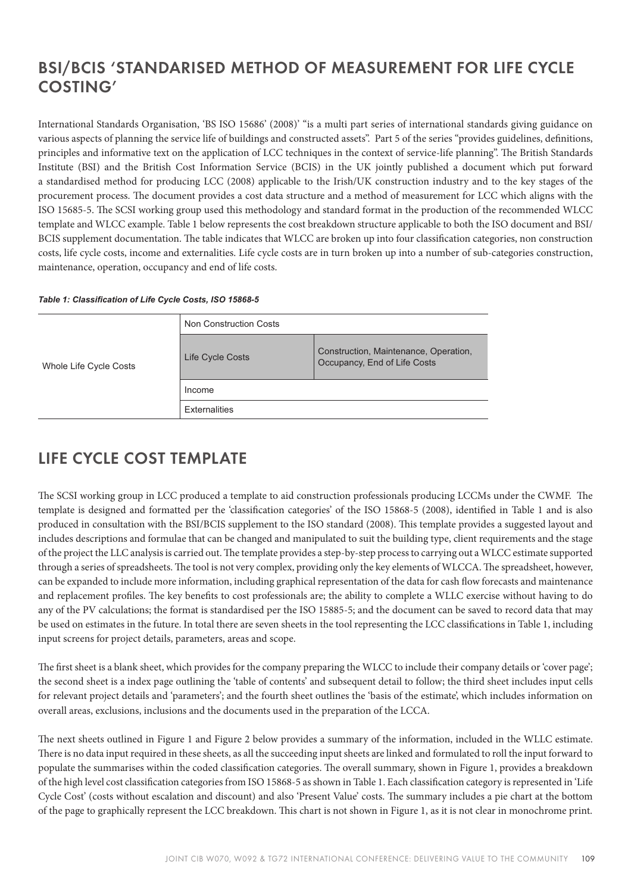## BSI/BCIS 'STANDARISED METHOD OF MEASUREMENT FOR LIFE CYCLE COSTING'

International Standards Organisation, 'BS ISO 15686' (2008)' "is a multi part series of international standards giving guidance on various aspects of planning the service life of buildings and constructed assets". Part 5 of the series "provides guidelines, definitions, principles and informative text on the application of LCC techniques in the context of service-life planning". The British Standards Institute (BSI) and the British Cost Information Service (BCIS) in the UK jointly published a document which put forward a standardised method for producing LCC (2008) applicable to the Irish/UK construction industry and to the key stages of the procurement process. The document provides a cost data structure and a method of measurement for LCC which aligns with the ISO 15685-5. The SCSI working group used this methodology and standard format in the production of the recommended WLCC template and WLCC example. Table 1 below represents the cost breakdown structure applicable to both the ISO document and BSI/ BCIS supplement documentation. The table indicates that WLCC are broken up into four classification categories, non construction costs, life cycle costs, income and externalities. Life cycle costs are in turn broken up into a number of sub-categories construction, maintenance, operation, occupancy and end of life costs.

#### *Table 1: Classification of Life Cycle Costs, ISO 15868-5*

| Whole Life Cycle Costs | Non Construction Costs |                                                                       |  |  |  |  |  |  |  |
|------------------------|------------------------|-----------------------------------------------------------------------|--|--|--|--|--|--|--|
|                        | Life Cycle Costs       | Construction, Maintenance, Operation,<br>Occupancy, End of Life Costs |  |  |  |  |  |  |  |
|                        | Income                 |                                                                       |  |  |  |  |  |  |  |
|                        | <b>Externalities</b>   |                                                                       |  |  |  |  |  |  |  |

#### LIFE CYCLE COST TEMPLATE

The SCSI working group in LCC produced a template to aid construction professionals producing LCCMs under the CWMF. The template is designed and formatted per the 'classification categories' of the ISO 15868-5 (2008), identified in Table 1 and is also produced in consultation with the BSI/BCIS supplement to the ISO standard (2008). This template provides a suggested layout and includes descriptions and formulae that can be changed and manipulated to suit the building type, client requirements and the stage of the project the LLC analysis is carried out. The template provides a step-by-step process to carrying out a WLCC estimate supported through a series of spreadsheets. The tool is not very complex, providing only the key elements of WLCCA. The spreadsheet, however, can be expanded to include more information, including graphical representation of the data for cash flow forecasts and maintenance and replacement profiles. The key benefits to cost professionals are; the ability to complete a WLLC exercise without having to do any of the PV calculations; the format is standardised per the ISO 15885-5; and the document can be saved to record data that may be used on estimates in the future. In total there are seven sheets in the tool representing the LCC classifications in Table 1, including input screens for project details, parameters, areas and scope.

The first sheet is a blank sheet, which provides for the company preparing the WLCC to include their company details or 'cover page'; the second sheet is a index page outlining the 'table of contents' and subsequent detail to follow; the third sheet includes input cells for relevant project details and 'parameters'; and the fourth sheet outlines the 'basis of the estimate', which includes information on overall areas, exclusions, inclusions and the documents used in the preparation of the LCCA.

e next sheets outlined in Figure 1 and Figure 2 below provides a summary of the information, included in the WLLC estimate. There is no data input required in these sheets, as all the succeeding input sheets are linked and formulated to roll the input forward to populate the summarises within the coded classification categories. The overall summary, shown in Figure 1, provides a breakdown of the high level cost classification categories from ISO 15868-5 as shown in Table 1. Each classification category is represented in 'Life Cycle Cost' (costs without escalation and discount) and also 'Present Value' costs. The summary includes a pie chart at the bottom of the page to graphically represent the LCC breakdown. This chart is not shown in Figure 1, as it is not clear in monochrome print.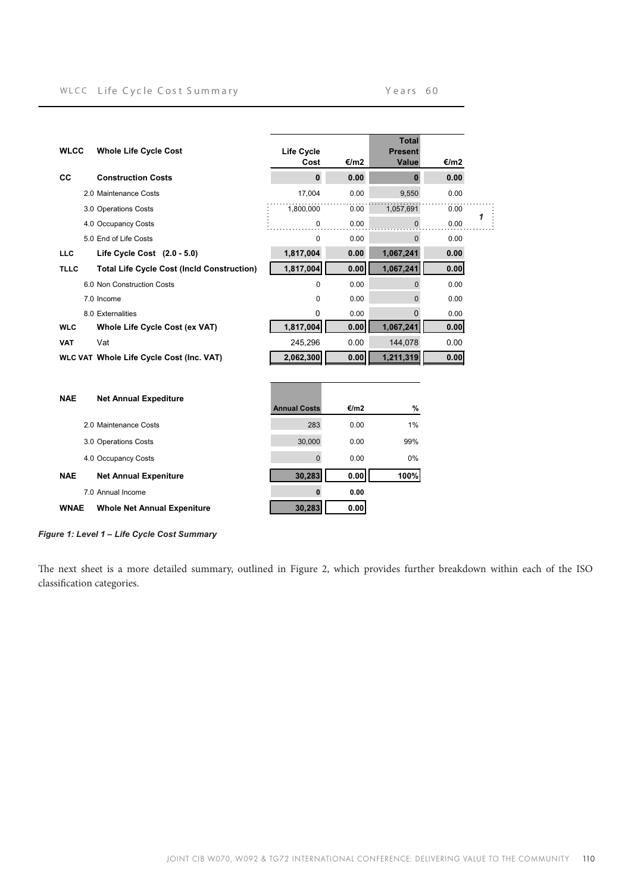#### WLCC Life Cycle Cost Summary Vears 60

| <b>WLCC</b> | <b>Whole Life Cycle Cost</b>                      | <b>Life Cycle</b><br>Cost | €/m2 | <b>Total</b><br><b>Present</b><br>Value | €/m2 |   |
|-------------|---------------------------------------------------|---------------------------|------|-----------------------------------------|------|---|
| CC          | <b>Construction Costs</b>                         | $\mathbf 0$               | 0.00 | $\mathbf{0}$                            | 0.00 |   |
|             | 2.0 Maintenance Costs                             | 17,004                    | 0.00 | 9,550                                   | 0.00 |   |
|             | 3.0 Operations Costs                              | 1,800,000                 | 0.00 | 1,057,691                               | 0.00 |   |
|             | 4.0 Occupancy Costs                               | $\mathbf 0$               | 0.00 | 0                                       | 0.00 | 1 |
|             | 5.0 End of Life Costs                             | $\Omega$                  | 0.00 | $\overline{0}$                          | 0.00 |   |
| <b>LLC</b>  | Life Cycle Cost $(2.0 - 5.0)$                     | 1,817,004                 | 0.00 | 1,067,241                               | 0.00 |   |
| <b>TLLC</b> | <b>Total Life Cycle Cost (Incld Construction)</b> | 1,817,004                 | 0.00 | 1,067,241                               | 0.00 |   |
|             | 6.0 Non Construction Costs                        | $\Omega$                  | 0.00 | $\mathbf{0}$                            | 0.00 |   |
|             | 7.0 Income                                        | $\Omega$                  | 0.00 | $\overline{0}$                          | 0.00 |   |
|             | 8.0 Externalities                                 | 0                         | 0.00 | $\Omega$                                | 0.00 |   |
| <b>WLC</b>  | Whole Life Cycle Cost (ex VAT)                    | 1,817,004                 | 0.00 | 1,067,241                               | 0.00 |   |
| <b>VAT</b>  | Vat                                               | 245,296                   | 0.00 | 144,078                                 | 0.00 |   |
|             | WLC VAT Whole Life Cycle Cost (Inc. VAT)          | 2,062,300                 | 0.00 | 1,211,319                               | 0.00 |   |
| <b>NAE</b>  | <b>Net Annual Expediture</b>                      | <b>Annual Costs</b>       | €/m2 | %                                       |      |   |
|             | 2.0 Maintenance Costs                             | 283                       | 0.00 | 1%                                      |      |   |
|             | 3.0 Operations Costs                              | 30,000                    | 0.00 | 99%                                     |      |   |
|             | 4.0 Occupancy Costs                               | $\mathbf{0}$              | 0.00 | $0\%$                                   |      |   |
| <b>NAE</b>  | <b>Net Annual Expeniture</b>                      | 30,283                    | 0.00 | 100%                                    |      |   |
|             | 7.0 Annual Income                                 | $\bf{0}$                  | 0.00 |                                         |      |   |
| <b>WNAE</b> | <b>Whole Net Annual Expeniture</b>                | 30,283                    | 0.00 |                                         |      |   |

Figure 1: Level 1 - Life Cycle Cost Summary

The next sheet is a more detailed summary, outlined in Figure 2, which provides further breakdown within each of the ISO classification categories.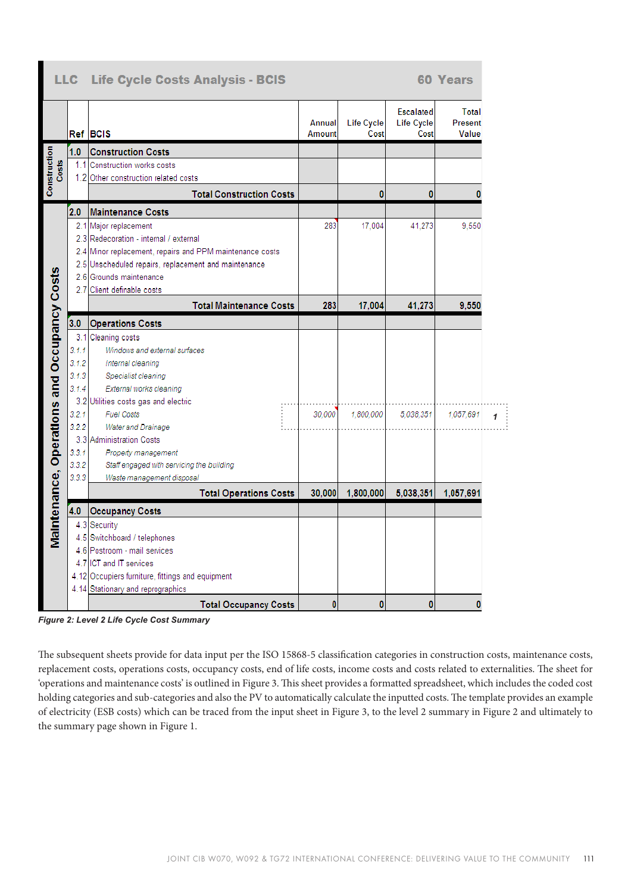|                                             |       | LLC Life Cycle Costs Analysis - BCIS                     |                  |                    |                                        | <b>60 Years</b>           |  |
|---------------------------------------------|-------|----------------------------------------------------------|------------------|--------------------|----------------------------------------|---------------------------|--|
|                                             |       | Ref BCIS                                                 | Annual<br>Amount | Life Cycle<br>Cost | <b>Escalated</b><br>Life Cycle<br>Cost | Total<br>Present<br>Value |  |
|                                             | 1.0   | <b>Construction Costs</b>                                |                  |                    |                                        |                           |  |
| Costs                                       | 1.1   | Construction works costs                                 |                  |                    |                                        |                           |  |
|                                             |       | 1.2 Other construction related costs                     |                  |                    |                                        |                           |  |
|                                             |       | <b>Total Construction Costs</b>                          |                  | 0                  | 0                                      | O                         |  |
|                                             | 2.0   | <b>Maintenance Costs</b>                                 |                  |                    |                                        |                           |  |
|                                             |       | 2.1 Major replacement                                    | 283              | 17.004             | 41.273                                 | 9.550                     |  |
|                                             |       | 2.3 Redecoration - internal / external                   |                  |                    |                                        |                           |  |
|                                             |       | 2.4 Minor replacement, repairs and PPM maintenance costs |                  |                    |                                        |                           |  |
|                                             |       | 2.5 Unscheduled repairs, replacement and maintenance     |                  |                    |                                        |                           |  |
|                                             |       | 2.6 Grounds maintenance                                  |                  |                    |                                        |                           |  |
|                                             |       | 2.7 Client definable costs                               |                  |                    |                                        |                           |  |
|                                             |       | <b>Total Maintenance Costs</b>                           | 283              | 17,004             | 41,273                                 | 9,550                     |  |
| Maintenance, Operations and Occupancy Costs | 3.0   | <b>Operations Costs</b>                                  |                  |                    |                                        |                           |  |
|                                             |       | 3.1 Cleaning costs                                       |                  |                    |                                        |                           |  |
|                                             | 3.1.1 | Windows and external surfaces                            |                  |                    |                                        |                           |  |
|                                             | 3.1.2 | Internal cleaning                                        |                  |                    |                                        |                           |  |
|                                             | 3.1.3 | Specialist cleaning                                      |                  |                    |                                        |                           |  |
|                                             | 3.1.4 | External works cleaning                                  |                  |                    |                                        |                           |  |
|                                             |       | 3.2 Utilities costs gas and electric                     |                  |                    |                                        |                           |  |
|                                             | 3.2.1 | <b>Fuel Costs</b>                                        | 30.000           | 1,800,000          | 5.038.351                              | 1.057.691                 |  |
|                                             | 3.2.2 | Water and Drainage                                       |                  |                    |                                        |                           |  |
|                                             |       | 3.3 Administration Costs                                 |                  |                    |                                        |                           |  |
|                                             | 3.3.1 | Property management                                      |                  |                    |                                        |                           |  |
|                                             | 3.3.2 | Staff engaged with servicing the building                |                  |                    |                                        |                           |  |
|                                             | 3.3.3 | Waste management disposal                                |                  |                    |                                        |                           |  |
|                                             |       | <b>Total Operations Costs</b>                            | 30,000           | 1,800,000          | 5,038,351                              | 1,057,691                 |  |
|                                             | 4.0   | <b>Occupancy Costs</b>                                   |                  |                    |                                        |                           |  |
|                                             |       | 4.3 Security                                             |                  |                    |                                        |                           |  |
|                                             |       | 4.5 Switchboard / telephones                             |                  |                    |                                        |                           |  |
|                                             |       | 4.6 Postroom - mail services                             |                  |                    |                                        |                           |  |
|                                             |       | 4.7 ICT and IT services                                  |                  |                    |                                        |                           |  |
|                                             |       | 4.12 Occupiers furniture, fittings and equipment         |                  |                    |                                        |                           |  |
|                                             |       | 4.14 Stationary and reprographics                        |                  |                    |                                        |                           |  |
|                                             |       | <b>Total Occupancy Costs</b>                             | ٥                | 0                  | $\bf{0}$                               | ٥                         |  |

**Figure 2: Level 2 Life Cycle Cost Summary** 

The subsequent sheets provide for data input per the ISO 15868-5 classification categories in construction costs, maintenance costs, replacement costs, operations costs, occupancy costs, end of life costs, income costs and costs related to externalities. The sheet for 'operations and maintenance costs' is outlined in Figure 3. This sheet provides a formatted spreadsheet, which includes the coded cost holding categories and sub-categories and also the PV to automatically calculate the inputted costs. The template provides an example of electricity (ESB costs) which can be traced from the input sheet in Figure 3, to the level 2 summary in Figure 2 and ultimately to the summary page shown in Figure 1.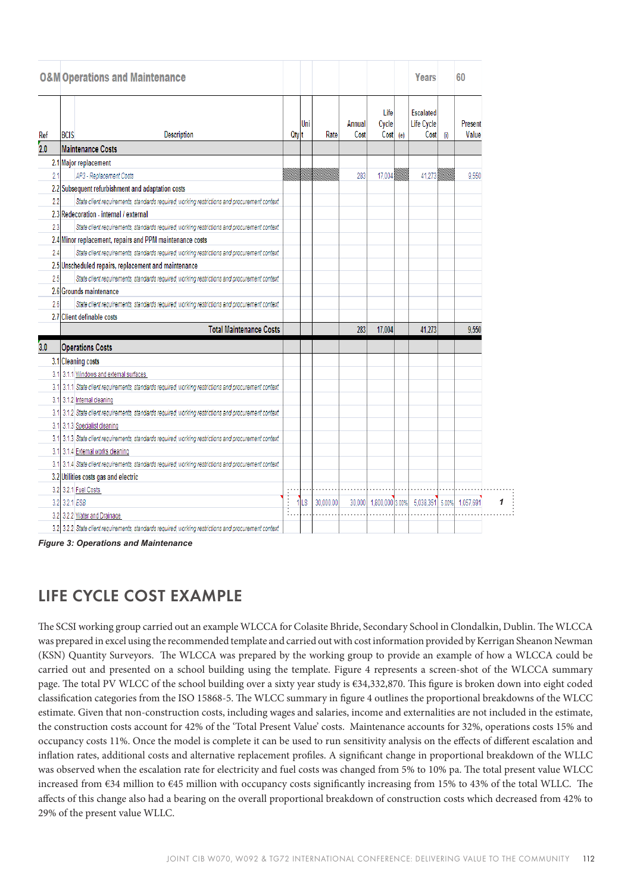|     | <b>O&amp;M Operations and Maintenance</b> |                                                                                                       |                      |        |                                                                                                                      |                |                        |     | Years                                  |       | 60               |   |
|-----|-------------------------------------------|-------------------------------------------------------------------------------------------------------|----------------------|--------|----------------------------------------------------------------------------------------------------------------------|----------------|------------------------|-----|----------------------------------------|-------|------------------|---|
| Ref | <b>BCIS</b>                               | Description                                                                                           | Qty t                | Uni    | Rate                                                                                                                 | Annual<br>Cost | Life<br>Cycle<br>Cost  | (e) | <b>Escalated</b><br>Life Cycle<br>Cost | (i)   | Present<br>Value |   |
| 2.0 |                                           | Maintenance Costs                                                                                     |                      |        |                                                                                                                      |                |                        |     |                                        |       |                  |   |
|     |                                           | 2.1 Major replacement                                                                                 |                      |        |                                                                                                                      |                |                        |     |                                        |       |                  |   |
| 2.1 |                                           | AP3 - Replacement Costs                                                                               |                      |        | <u> Million School (1989) – September 1989 – September 1989 – September 1989 – September 1989 – September 1989 –</u> | 283            | 17,004                 |     | 41,273                                 |       | 9.550            |   |
|     |                                           | 2.2 Subsequent refurbishment and adaptation costs                                                     |                      |        |                                                                                                                      |                |                        |     |                                        |       |                  |   |
| 2.2 |                                           | State client requirements, standards required, working restrictions and procurement context           |                      |        |                                                                                                                      |                |                        |     |                                        |       |                  |   |
|     |                                           | 2.3 Redecoration - internal / external                                                                |                      |        |                                                                                                                      |                |                        |     |                                        |       |                  |   |
| 2.3 |                                           | State client requirements, standards required, working restrictions and procurement context           |                      |        |                                                                                                                      |                |                        |     |                                        |       |                  |   |
|     |                                           | 2.4 Minor replacement, repairs and PPM maintenance costs                                              |                      |        |                                                                                                                      |                |                        |     |                                        |       |                  |   |
| 2.4 |                                           | State client requirements, standards required, working restrictions and procurement context           |                      |        |                                                                                                                      |                |                        |     |                                        |       |                  |   |
|     |                                           | 2.5 Unscheduled repairs, replacement and maintenance                                                  |                      |        |                                                                                                                      |                |                        |     |                                        |       |                  |   |
| 2.5 |                                           | State client requirements, standards required, working restrictions and procurement context           |                      |        |                                                                                                                      |                |                        |     |                                        |       |                  |   |
|     |                                           | 2.6 Grounds maintenance                                                                               |                      |        |                                                                                                                      |                |                        |     |                                        |       |                  |   |
| 2.6 |                                           | State client requirements, standards required, working restrictions and procurement context           |                      |        |                                                                                                                      |                |                        |     |                                        |       |                  |   |
|     |                                           | 2.7 Client definable costs                                                                            |                      |        |                                                                                                                      |                |                        |     |                                        |       |                  |   |
|     |                                           | <b>Total Maintenance Costs</b>                                                                        |                      |        |                                                                                                                      | 283            | 17,004                 |     | 41.273                                 |       | 9.550            |   |
| 3.0 |                                           | <b>Operations Costs</b>                                                                               |                      |        |                                                                                                                      |                |                        |     |                                        |       |                  |   |
|     |                                           | 3.1 Cleaning costs                                                                                    |                      |        |                                                                                                                      |                |                        |     |                                        |       |                  |   |
|     |                                           | 3.1 3.1.1 Windows and external surfaces                                                               |                      |        |                                                                                                                      |                |                        |     |                                        |       |                  |   |
|     |                                           | 3.1 3.1.1 State client requirements, standards required, working restrictions and procurement context |                      |        |                                                                                                                      |                |                        |     |                                        |       |                  |   |
|     |                                           | 3.1 3.1.2 Internal cleaning                                                                           |                      |        |                                                                                                                      |                |                        |     |                                        |       |                  |   |
|     |                                           | 3.1 3.1.2 State client requirements, standards required, working restrictions and procurement context |                      |        |                                                                                                                      |                |                        |     |                                        |       |                  |   |
|     |                                           | 3.1 3.1.3 Specialist cleaning                                                                         |                      |        |                                                                                                                      |                |                        |     |                                        |       |                  |   |
|     |                                           | 3.1 3.1.3 State client requirements, standards required, working restrictions and procurement context |                      |        |                                                                                                                      |                |                        |     |                                        |       |                  |   |
|     |                                           | 3.1 3.1.4 External works cleaning                                                                     |                      |        |                                                                                                                      |                |                        |     |                                        |       |                  |   |
|     |                                           | 3.1 3.1.4 State client requirements, standards required, working restrictions and procurement context |                      |        |                                                                                                                      |                |                        |     |                                        |       |                  |   |
|     |                                           | 3.2 Utilities costs gas and electric                                                                  |                      |        |                                                                                                                      |                |                        |     |                                        |       |                  |   |
|     |                                           | 3.2 3.2.1 Fuel Costs                                                                                  |                      |        |                                                                                                                      |                |                        |     |                                        |       |                  |   |
|     |                                           | 3.2 3.2.1 ESB                                                                                         | $\frac{1}{\sqrt{2}}$ | $1$ LS | 30,000.00                                                                                                            |                | 30,000 1,800,000 3.00% |     | 5.038.351                              | 5.00% | 1.057.691        | 1 |
|     |                                           | 3.2 3.2.2 Water and Drainage                                                                          |                      |        |                                                                                                                      |                |                        |     |                                        |       |                  |   |
|     |                                           | 3.2 3.2.2 State client requirements, standards required, working restrictions and procurement context |                      |        |                                                                                                                      |                |                        |     |                                        |       |                  |   |

**Figure 3: Operations and Maintenance** 

## LIFE CYCLE COST EXAMPLE

The SCSI working group carried out an example WLCCA for Colasite Bhride, Secondary School in Clondalkin, Dublin. The WLCCA was prepared in excel using the recommended template and carried out with cost information provided by Kerrigan Sheanon Newman (KSN) Quantity Surveyors. The WLCCA was prepared by the working group to provide an example of how a WLCCA could be carried out and presented on a school building using the template. Figure 4 represents a screen-shot of the WLCCA summary page. The total PV WLCC of the school building over a sixty year study is €34,332,870. This figure is broken down into eight coded classification categories from the ISO 15868-5. The WLCC summary in figure 4 outlines the proportional breakdowns of the WLCC estimate. Given that non-construction costs, including wages and salaries, income and externalities are not included in the estimate, the construction costs account for 42% of the 'Total Present Value' costs. Maintenance accounts for 32%, operations costs 15% and occupancy costs 11%. Once the model is complete it can be used to run sensitivity analysis on the effects of different escalation and inflation rates, additional costs and alternative replacement profiles. A significant change in proportional breakdown of the WLLC was observed when the escalation rate for electricity and fuel costs was changed from 5% to 10% pa. The total present value WLCC increased from  $\epsilon$ 34 million to  $\epsilon$ 45 million with occupancy costs significantly increasing from 15% to 43% of the total WLLC. The affects of this change also had a bearing on the overall proportional breakdown of construction costs which decreased from 42% to 29% of the present value WLLC.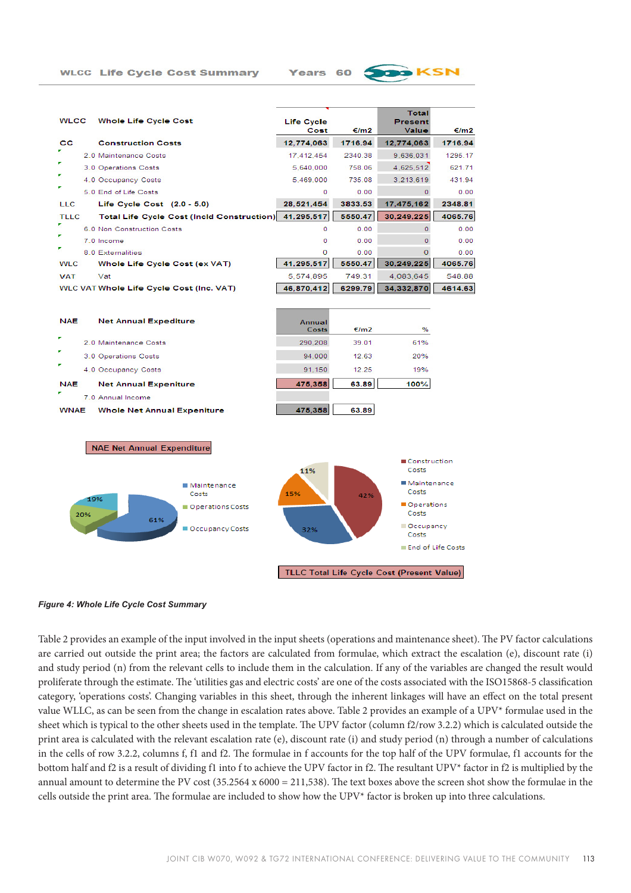Total **WLCC Whole Life Cycle Cost Life Cycle** Present Cost €/m2 Value €/m2  $_{\rm cc}$ 12,774,063 1716.94 **Construction Costs** 12.774.063 1716.94 2.0 Maintenance Costs 17.412.454 2340.38 9.636.031 1295.17 3.0 Operations Costs 5.640.000 758.06 4 625 512 621.71 4.0 Occupancy Costs 5,469,000 735.08 3,213,619 431.94 5.0 End of Life Costs  $0.00$  $\overline{0}$  $0.00$  $\Omega$ Life Cycle Cost (2.0 - 5.0) 28.521.454 3833.53 2348.81 LLC 17.475.162 Total Life Cycle Cost (Incld Construction) 41,295,517 5550.47 30.249.225 4065.76 **TLLC**  $0.00$ 6.0 Non Construction Costs  $0.00$  $\overline{0}$  $\overline{0}$ 7.0 Income  $\overline{0}$  $0.00$  $\mathbf{o}$  $0.00$  $\Omega$ 8.0 Externalities  $\Omega$  $0.00$  $0.00$ 41,295,517 5550.47 30.249.225 4065.76 **WLC** Whole Life Cycle Cost (ex VAT) 749.31 4 083 645 548.88 **VAT** Vat 5 574 895 WLC VAT Whole Life Cycle Cost (Inc. VAT) 46,870,412 6299.79 34,332,870 4614.63 **NAE Net Annual Expediture** Annual  $f/m$  $\frac{9}{6}$ Costs 2.0 Maintenance Costs 290.208 39.01 61% 94,000 3.0 Operations Costs 12.63 20% 4.0 Occupancy Costs 91.150  $12.25$ 19% **NAE Net Annual Expeniture** 475.358 63.89 100% 7.0 Annual Income **WNAE** Whole Net Annual Expeniture 475,358 63.89 **NAE Net Annual Expenditure** Construction 11% Costs

Years

60



**Figure 4: Whole Life Cycle Cost Summary** 

Table 2 provides an example of the input involved in the input sheets (operations and maintenance sheet). The PV factor calculations are carried out outside the print area; the factors are calculated from formulae, which extract the escalation (e), discount rate (i) and study period (n) from the relevant cells to include them in the calculation. If any of the variables are changed the result would proliferate through the estimate. The 'utilities gas and electric costs' are one of the costs associated with the ISO15868-5 classification category, 'operations costs'. Changing variables in this sheet, through the inherent linkages will have an effect on the total present value WLLC, as can be seen from the change in escalation rates above. Table 2 provides an example of a UPV\* formulae used in the sheet which is typical to the other sheets used in the template. The UPV factor (column f2/row 3.2.2) which is calculated outside the print area is calculated with the relevant escalation rate (e), discount rate (i) and study period (n) through a number of calculations in the cells of row 3.2.2, columns f, f1 and f2. The formulae in f accounts for the top half of the UPV formulae, f1 accounts for the bottom half and f2 is a result of dividing f1 into f to achieve the UPV factor in f2. The resultant UPV\* factor in f2 is multiplied by the annual amount to determine the PV cost  $(35.2564 \times 6000 = 211,538)$ . The text boxes above the screen shot show the formulae in the cells outside the print area. The formulae are included to show how the UPV $*$  factor is broken up into three calculations.